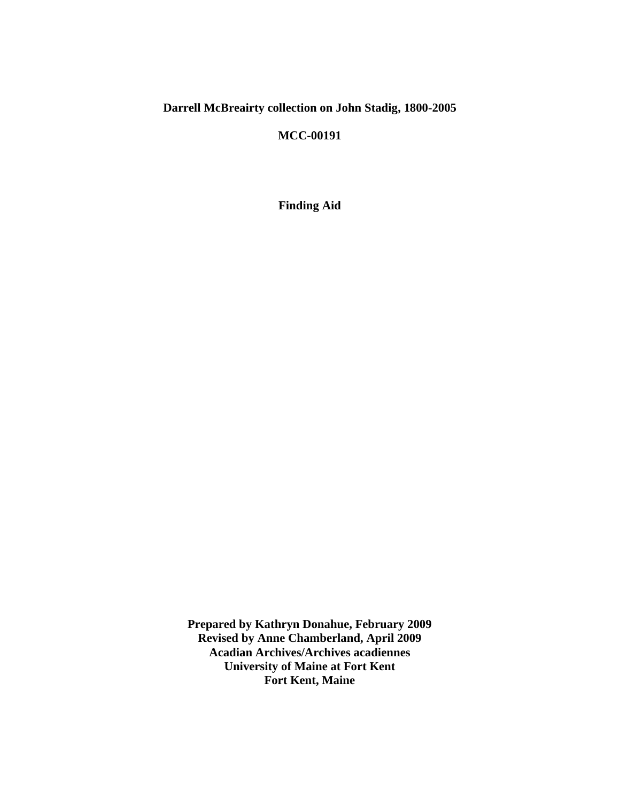# **Darrell McBreairty collection on John Stadig, 1800-2005**

## **MCC-00191**

**Finding Aid**

**Prepared by Kathryn Donahue, February 2009 Revised by Anne Chamberland, April 2009 Acadian Archives/Archives acadiennes University of Maine at Fort Kent Fort Kent, Maine**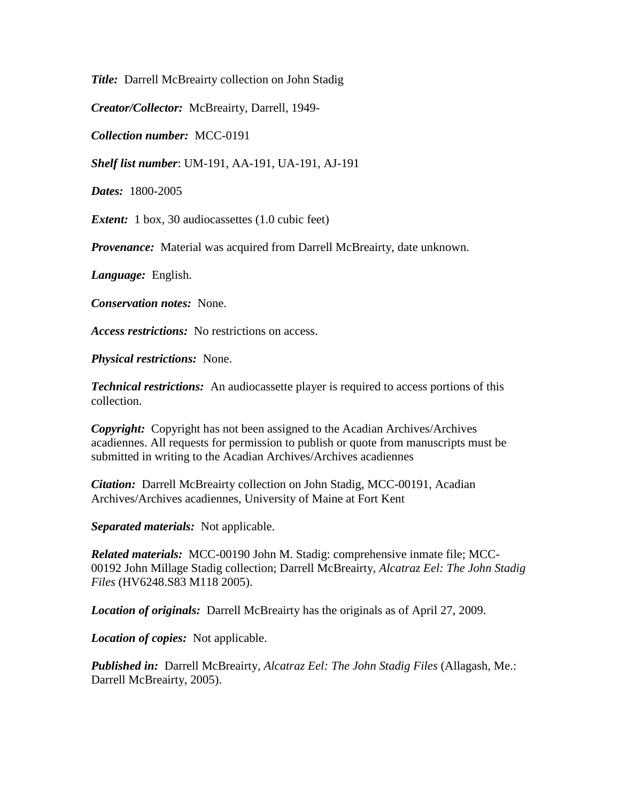*Title:* Darrell McBreairty collection on John Stadig

*Creator/Collector:* McBreairty, Darrell, 1949-

*Collection number:* MCC-0191

*Shelf list number*: UM-191, AA-191, UA-191, AJ-191

*Dates:* 1800-2005

*Extent:* 1 box, 30 audiocassettes (1.0 cubic feet)

*Provenance:* Material was acquired from Darrell McBreairty, date unknown.

*Language:* English.

*Conservation notes:* None.

*Access restrictions:* No restrictions on access.

*Physical restrictions:* None.

*Technical restrictions:* An audiocassette player is required to access portions of this collection.

*Copyright:* Copyright has not been assigned to the Acadian Archives/Archives acadiennes. All requests for permission to publish or quote from manuscripts must be submitted in writing to the Acadian Archives/Archives acadiennes

*Citation:* Darrell McBreairty collection on John Stadig, MCC-00191, Acadian Archives/Archives acadiennes, University of Maine at Fort Kent

*Separated materials:* Not applicable.

*Related materials:* MCC-00190 John M. Stadig: comprehensive inmate file; MCC-00192 John Millage Stadig collection; Darrell McBreairty, *Alcatraz Eel: The John Stadig Files* (HV6248.S83 M118 2005).

*Location of originals:* Darrell McBreairty has the originals as of April 27, 2009.

*Location of copies:* Not applicable.

*Published in:* Darrell McBreairty, *Alcatraz Eel: The John Stadig Files* (Allagash, Me.: Darrell McBreairty, 2005).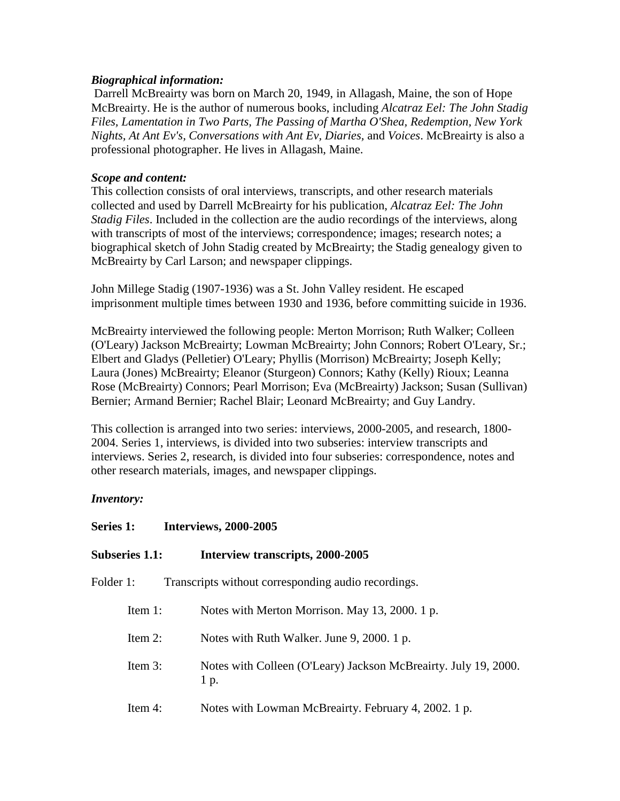### *Biographical information:*

Darrell McBreairty was born on March 20, 1949, in Allagash, Maine, the son of Hope McBreairty. He is the author of numerous books, including *Alcatraz Eel: The John Stadig Files, Lamentation in Two Parts, The Passing of Martha O'Shea, Redemption, New York Nights, At Ant Ev's, Conversations with Ant Ev, Diaries,* and *Voices*. McBreairty is also a professional photographer. He lives in Allagash, Maine.

## *Scope and content:*

This collection consists of oral interviews, transcripts, and other research materials collected and used by Darrell McBreairty for his publication, *Alcatraz Eel: The John Stadig Files*. Included in the collection are the audio recordings of the interviews, along with transcripts of most of the interviews; correspondence; images; research notes; a biographical sketch of John Stadig created by McBreairty; the Stadig genealogy given to McBreairty by Carl Larson; and newspaper clippings.

John Millege Stadig (1907-1936) was a St. John Valley resident. He escaped imprisonment multiple times between 1930 and 1936, before committing suicide in 1936.

McBreairty interviewed the following people: Merton Morrison; Ruth Walker; Colleen (O'Leary) Jackson McBreairty; Lowman McBreairty; John Connors; Robert O'Leary, Sr.; Elbert and Gladys (Pelletier) O'Leary; Phyllis (Morrison) McBreairty; Joseph Kelly; Laura (Jones) McBreairty; Eleanor (Sturgeon) Connors; Kathy (Kelly) Rioux; Leanna Rose (McBreairty) Connors; Pearl Morrison; Eva (McBreairty) Jackson; Susan (Sullivan) Bernier; Armand Bernier; Rachel Blair; Leonard McBreairty; and Guy Landry.

This collection is arranged into two series: interviews, 2000-2005, and research, 1800- 2004. Series 1, interviews, is divided into two subseries: interview transcripts and interviews. Series 2, research, is divided into four subseries: correspondence, notes and other research materials, images, and newspaper clippings.

## *Inventory:*

**Series 1: Interviews, 2000-2005**

| <b>Subseries 1.1:</b> | Interview transcripts, 2000-2005                                        |
|-----------------------|-------------------------------------------------------------------------|
| Folder 1:             | Transcripts without corresponding audio recordings.                     |
| Item $1$ :            | Notes with Merton Morrison. May 13, 2000. 1 p.                          |
| Item $2$ :            | Notes with Ruth Walker. June 9, 2000. 1 p.                              |
| Item $3$ :            | Notes with Colleen (O'Leary) Jackson McBreairty. July 19, 2000.<br>1 p. |
| Item $4$ :            | Notes with Lowman McBreairty. February 4, 2002. 1 p.                    |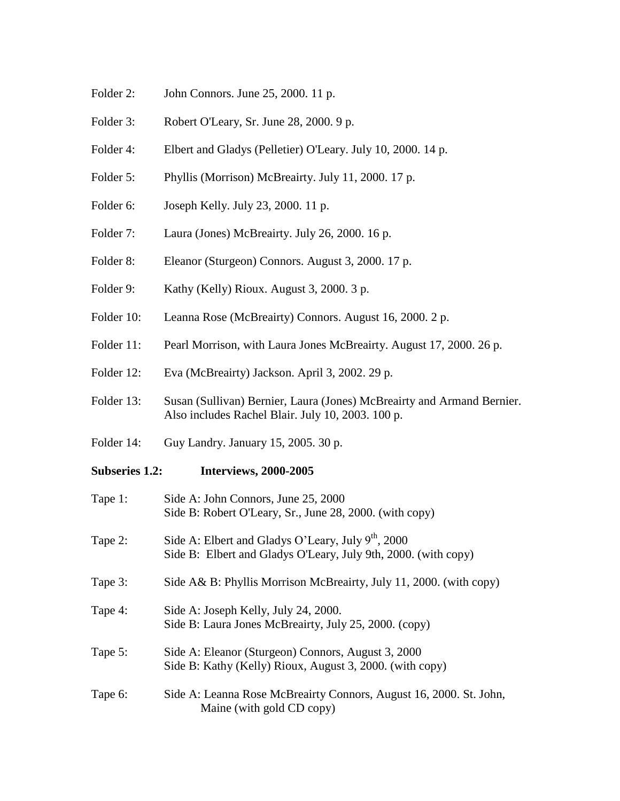- Folder 2: John Connors. June 25, 2000. 11 p.
- Folder 3: Robert O'Leary, Sr. June 28, 2000. 9 p.
- Folder 4: Elbert and Gladys (Pelletier) O'Leary. July 10, 2000. 14 p.
- Folder 5: Phyllis (Morrison) McBreairty. July 11, 2000. 17 p.
- Folder 6: Joseph Kelly. July 23, 2000. 11 p.
- Folder 7: Laura (Jones) McBreairty. July 26, 2000. 16 p.
- Folder 8: Eleanor (Sturgeon) Connors. August 3, 2000. 17 p.
- Folder 9: Kathy (Kelly) Rioux. August 3, 2000. 3 p.
- Folder 10: Leanna Rose (McBreairty) Connors. August 16, 2000. 2 p.
- Folder 11: Pearl Morrison, with Laura Jones McBreairty. August 17, 2000. 26 p.
- Folder 12: Eva (McBreairty) Jackson. April 3, 2002. 29 p.
- Folder 13: Susan (Sullivan) Bernier, Laura (Jones) McBreairty and Armand Bernier. Also includes Rachel Blair. July 10, 2003. 100 p.
- Folder 14: Guy Landry. January 15, 2005. 30 p.

#### **Subseries 1.2: Interviews, 2000-2005**

| Tape 1: | Side A: John Connors, June 25, 2000<br>Side B: Robert O'Leary, Sr., June 28, 2000. (with copy)                         |
|---------|------------------------------------------------------------------------------------------------------------------------|
| Tape 2: | Side A: Elbert and Gladys O'Leary, July $9th$ , 2000<br>Side B: Elbert and Gladys O'Leary, July 9th, 2000. (with copy) |
| Tape 3: | Side A& B: Phyllis Morrison McBreairty, July 11, 2000. (with copy)                                                     |
| Tape 4: | Side A: Joseph Kelly, July 24, 2000.<br>Side B: Laura Jones McBreairty, July 25, 2000. (copy)                          |
| Tape 5: | Side A: Eleanor (Sturgeon) Connors, August 3, 2000<br>Side B: Kathy (Kelly) Rioux, August 3, 2000. (with copy)         |
| Tape 6: | Side A: Leanna Rose McBreairty Connors, August 16, 2000. St. John,<br>Maine (with gold CD copy)                        |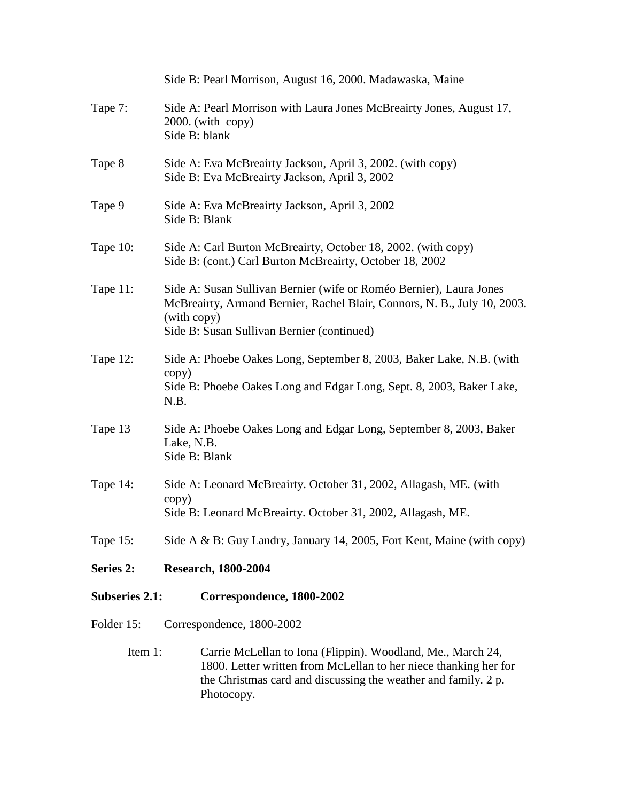|                       | Side B: Pearl Morrison, August 16, 2000. Madawaska, Maine                                                                                                                                                       |  |
|-----------------------|-----------------------------------------------------------------------------------------------------------------------------------------------------------------------------------------------------------------|--|
| Tape 7:               | Side A: Pearl Morrison with Laura Jones McBreairty Jones, August 17,<br>$2000$ . (with copy)<br>Side B: blank                                                                                                   |  |
| Tape 8                | Side A: Eva McBreairty Jackson, April 3, 2002. (with copy)<br>Side B: Eva McBreairty Jackson, April 3, 2002                                                                                                     |  |
| Tape 9                | Side A: Eva McBreairty Jackson, April 3, 2002<br>Side B: Blank                                                                                                                                                  |  |
| Tape 10:              | Side A: Carl Burton McBreairty, October 18, 2002. (with copy)<br>Side B: (cont.) Carl Burton McBreairty, October 18, 2002                                                                                       |  |
| Tape 11:              | Side A: Susan Sullivan Bernier (wife or Roméo Bernier), Laura Jones<br>McBreairty, Armand Bernier, Rachel Blair, Connors, N. B., July 10, 2003.<br>(with copy)<br>Side B: Susan Sullivan Bernier (continued)    |  |
| Tape 12:              | Side A: Phoebe Oakes Long, September 8, 2003, Baker Lake, N.B. (with<br>copy)<br>Side B: Phoebe Oakes Long and Edgar Long, Sept. 8, 2003, Baker Lake,<br>N.B.                                                   |  |
| Tape 13               | Side A: Phoebe Oakes Long and Edgar Long, September 8, 2003, Baker<br>Lake, N.B.<br>Side B: Blank                                                                                                               |  |
| Tape 14:              | Side A: Leonard McBreairty. October 31, 2002, Allagash, ME. (with<br>copy)<br>Side B: Leonard McBreairty. October 31, 2002, Allagash, ME.                                                                       |  |
| Tape 15:              | Side A & B: Guy Landry, January 14, 2005, Fort Kent, Maine (with copy)                                                                                                                                          |  |
| Series 2:             | <b>Research, 1800-2004</b>                                                                                                                                                                                      |  |
| <b>Subseries 2.1:</b> | Correspondence, 1800-2002                                                                                                                                                                                       |  |
| Folder 15:            | Correspondence, 1800-2002                                                                                                                                                                                       |  |
| Item 1:               | Carrie McLellan to Iona (Flippin). Woodland, Me., March 24,<br>1800. Letter written from McLellan to her niece thanking her for<br>the Christmas card and discussing the weather and family. 2 p.<br>Photocopy. |  |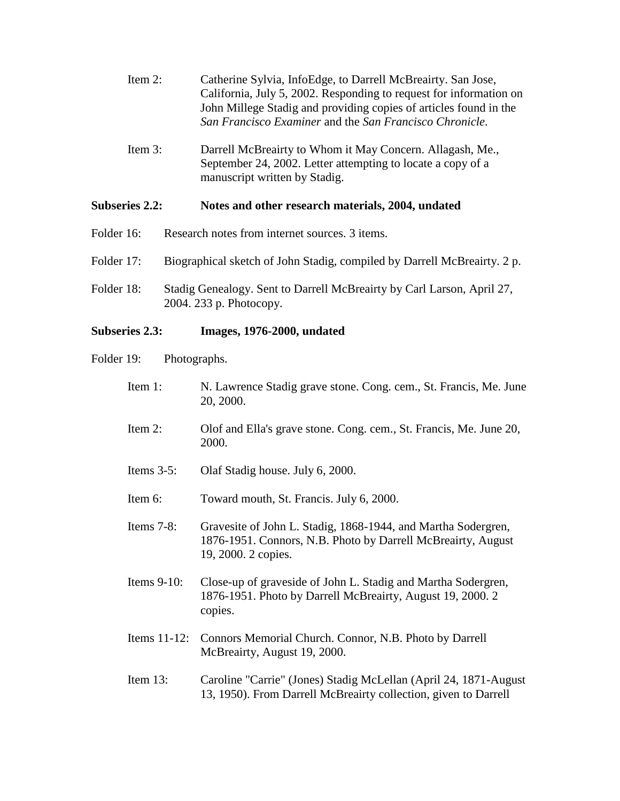| Item 2: | Catherine Sylvia, InfoEdge, to Darrell McBreairty. San Jose,       |
|---------|--------------------------------------------------------------------|
|         | California, July 5, 2002. Responding to request for information on |
|         | John Millege Stadig and providing copies of articles found in the  |
|         | San Francisco Examiner and the San Francisco Chronicle.            |

Item 3: Darrell McBreairty to Whom it May Concern. Allagash, Me., September 24, 2002. Letter attempting to locate a copy of a manuscript written by Stadig.

#### **Subseries 2.2: Notes and other research materials, 2004, undated**

- Folder 16: Research notes from internet sources. 3 items.
- Folder 17: Biographical sketch of John Stadig, compiled by Darrell McBreairty. 2 p.
- Folder 18: Stadig Genealogy. Sent to Darrell McBreairty by Carl Larson, April 27, 2004. 233 p. Photocopy.

### **Subseries 2.3: Images, 1976-2000, undated**

- Folder 19: Photographs.
	- Item 1: N. Lawrence Stadig grave stone. Cong. cem., St. Francis, Me. June 20, 2000.
	- Item 2: Olof and Ella's grave stone. Cong. cem., St. Francis, Me. June 20, 2000.
	- Items 3-5: Olaf Stadig house. July 6, 2000.
	- Item 6: Toward mouth, St. Francis. July 6, 2000.
	- Items 7-8: Gravesite of John L. Stadig, 1868-1944, and Martha Sodergren, 1876-1951. Connors, N.B. Photo by Darrell McBreairty, August 19, 2000. 2 copies.
	- Items 9-10: Close-up of graveside of John L. Stadig and Martha Sodergren, 1876-1951. Photo by Darrell McBreairty, August 19, 2000. 2 copies.
	- Items 11-12: Connors Memorial Church. Connor, N.B. Photo by Darrell McBreairty, August 19, 2000.

## Item 13: Caroline "Carrie" (Jones) Stadig McLellan (April 24, 1871-August 13, 1950). From Darrell McBreairty collection, given to Darrell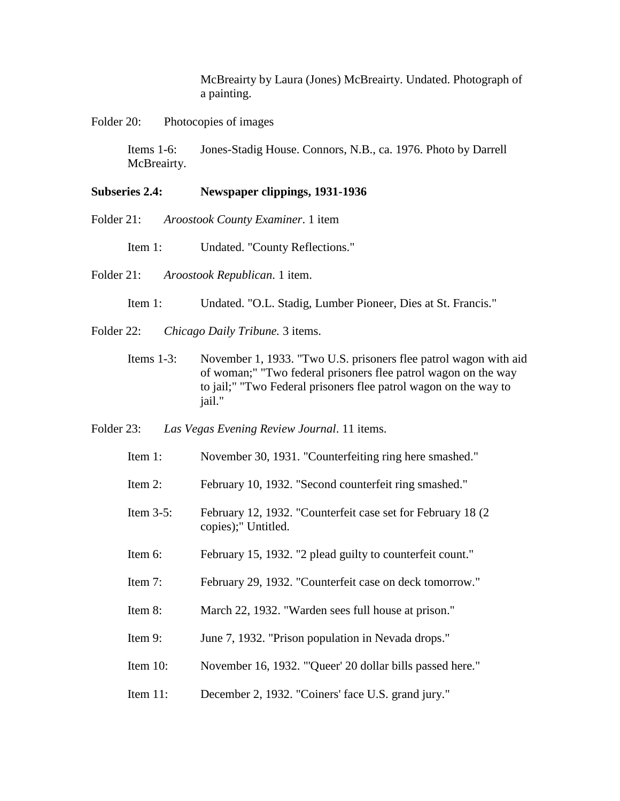McBreairty by Laura (Jones) McBreairty. Undated. Photograph of a painting.

Folder 20: Photocopies of images

Items 1-6: Jones-Stadig House. Connors, N.B., ca. 1976. Photo by Darrell McBreairty.

#### **Subseries 2.4: Newspaper clippings, 1931-1936**

- Folder 21: *Aroostook County Examiner*. 1 item
	- Item 1: Undated. "County Reflections."
- Folder 21: *Aroostook Republican*. 1 item.
	- Item 1: Undated. "O.L. Stadig, Lumber Pioneer, Dies at St. Francis."
- Folder 22: *Chicago Daily Tribune.* 3 items.
	- Items 1-3: November 1, 1933. "Two U.S. prisoners flee patrol wagon with aid of woman;" "Two federal prisoners flee patrol wagon on the way to jail;" "Two Federal prisoners flee patrol wagon on the way to jail."
- Folder 23: *Las Vegas Evening Review Journal*. 11 items.
	- Item 1: November 30, 1931. "Counterfeiting ring here smashed."
	- Item 2: February 10, 1932. "Second counterfeit ring smashed."
	- Item 3-5: February 12, 1932. "Counterfeit case set for February 18 (2 copies);" Untitled.
	- Item 6: February 15, 1932. "2 plead guilty to counterfeit count."
	- Item 7: February 29, 1932. "Counterfeit case on deck tomorrow."
	- Item 8: March 22, 1932. "Warden sees full house at prison."
	- Item 9: June 7, 1932. "Prison population in Nevada drops."
	- Item 10: November 16, 1932. "'Queer' 20 dollar bills passed here."
	- Item 11: December 2, 1932. "Coiners' face U.S. grand jury."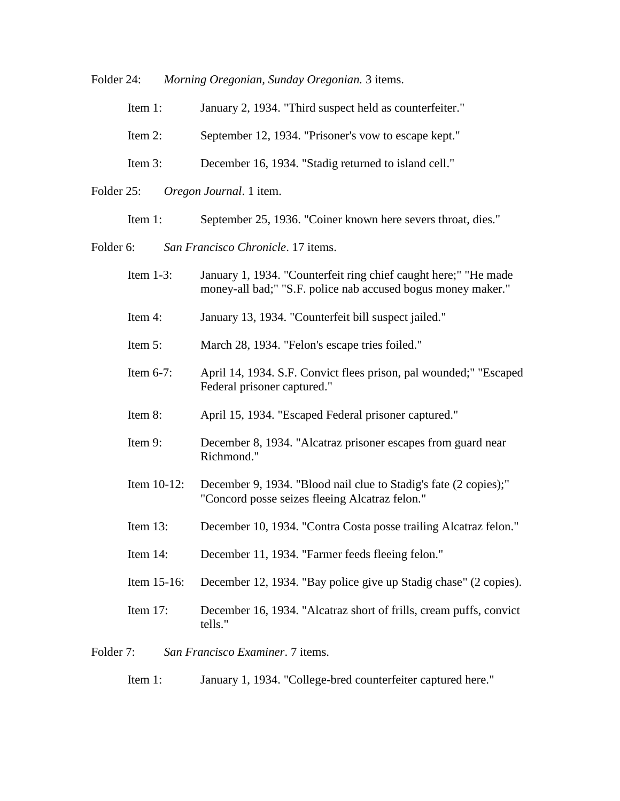Folder 24: *Morning Oregonian, Sunday Oregonian.* 3 items.

| Item $1$ : | January 2, 1934. "Third suspect held as counterfeiter." |
|------------|---------------------------------------------------------|
|            |                                                         |

- Item 2: September 12, 1934. "Prisoner's vow to escape kept."
- Item 3: December 16, 1934. "Stadig returned to island cell."
- Folder 25: *Oregon Journal*. 1 item.
	- Item 1: September 25, 1936. "Coiner known here severs throat, dies."
- Folder 6: *San Francisco Chronicle*. 17 items.
	- Item 1-3: January 1, 1934. "Counterfeit ring chief caught here;" "He made money-all bad;" "S.F. police nab accused bogus money maker."
	- Item 4: January 13, 1934. "Counterfeit bill suspect jailed."
	- Item 5: March 28, 1934. "Felon's escape tries foiled."
	- Item 6-7: April 14, 1934. S.F. Convict flees prison, pal wounded;" "Escaped Federal prisoner captured."
	- Item 8: April 15, 1934. "Escaped Federal prisoner captured."
	- Item 9: December 8, 1934. "Alcatraz prisoner escapes from guard near Richmond."
	- Item 10-12: December 9, 1934. "Blood nail clue to Stadig's fate (2 copies);" "Concord posse seizes fleeing Alcatraz felon."
	- Item 13: December 10, 1934. "Contra Costa posse trailing Alcatraz felon."
	- Item 14: December 11, 1934. "Farmer feeds fleeing felon."
	- Item 15-16: December 12, 1934. "Bay police give up Stadig chase" (2 copies).
	- Item 17: December 16, 1934. "Alcatraz short of frills, cream puffs, convict tells."

Folder 7: *San Francisco Examiner*. 7 items.

Item 1: January 1, 1934. "College-bred counterfeiter captured here."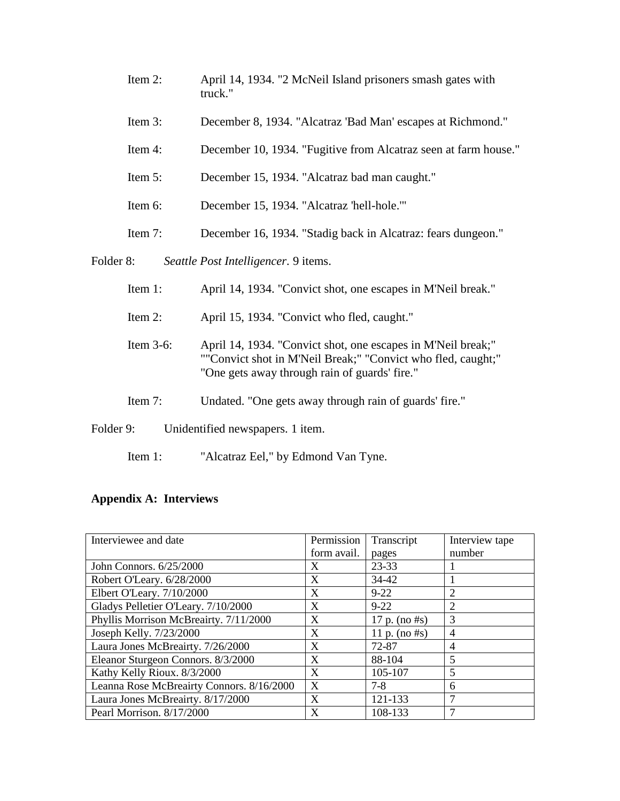- Item 2: April 14, 1934. "2 McNeil Island prisoners smash gates with truck."
- Item 3: December 8, 1934. "Alcatraz 'Bad Man' escapes at Richmond."
- Item 4: December 10, 1934. "Fugitive from Alcatraz seen at farm house."
- Item 5: December 15, 1934. "Alcatraz bad man caught."
- Item 6: December 15, 1934. "Alcatraz 'hell-hole.'"
- Item 7: December 16, 1934. "Stadig back in Alcatraz: fears dungeon."

Folder 8: *Seattle Post Intelligencer.* 9 items.

- Item 1: April 14, 1934. "Convict shot, one escapes in M'Neil break."
- Item 2: April 15, 1934. "Convict who fled, caught."
- Item 3-6: April 14, 1934. "Convict shot, one escapes in M'Neil break;" ""Convict shot in M'Neil Break;" "Convict who fled, caught;" "One gets away through rain of guards' fire."
- Item 7: Undated. "One gets away through rain of guards' fire."
- Folder 9: Unidentified newspapers. 1 item.
	- Item 1: "Alcatraz Eel," by Edmond Van Tyne.

### **Appendix A: Interviews**

| Interviewee and date                      | Permission  | Transcript       | Interview tape |
|-------------------------------------------|-------------|------------------|----------------|
|                                           | form avail. | pages            | number         |
| John Connors. 6/25/2000                   | X           | 23-33            |                |
| Robert O'Leary. 6/28/2000                 | X           | 34-42            |                |
| Elbert O'Leary. 7/10/2000                 | X           | $9 - 22$         | 2              |
| Gladys Pelletier O'Leary. 7/10/2000       | X           | $9 - 22$         | 2              |
| Phyllis Morrison McBreairty. 7/11/2000    | X           | 17 p. (no $#s$ ) | 3              |
| Joseph Kelly. 7/23/2000                   | X           | 11 p. (no $#s$ ) | 4              |
| Laura Jones McBreairty. 7/26/2000         | X           | 72-87            | 4              |
| Eleanor Sturgeon Connors. 8/3/2000        | X           | 88-104           | 5              |
| Kathy Kelly Rioux. 8/3/2000               | X           | 105-107          | 5              |
| Leanna Rose McBreairty Connors. 8/16/2000 | X           | $7 - 8$          | 6              |
| Laura Jones McBreairty. 8/17/2000         | X           | 121-133          | ┑              |
| Pearl Morrison. 8/17/2000                 | X           | 108-133          |                |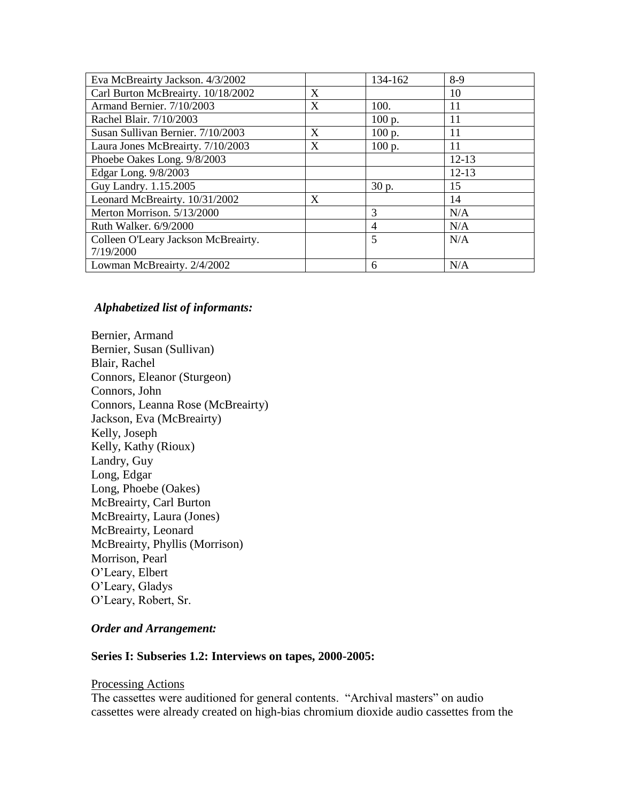| Eva McBreairty Jackson. 4/3/2002    |   | 134-162 | $8-9$     |
|-------------------------------------|---|---------|-----------|
| Carl Burton McBreairty. 10/18/2002  | X |         | 10        |
| Armand Bernier. 7/10/2003           | X | 100.    | 11        |
| Rachel Blair. 7/10/2003             |   | 100 p.  | 11        |
| Susan Sullivan Bernier. 7/10/2003   | X | 100 p.  | 11        |
| Laura Jones McBreairty. 7/10/2003   | X | 100 p.  | 11        |
| Phoebe Oakes Long. 9/8/2003         |   |         | $12 - 13$ |
| Edgar Long. 9/8/2003                |   |         | $12 - 13$ |
| Guy Landry. 1.15.2005               |   | 30 p.   | 15        |
| Leonard McBreairty. 10/31/2002      | X |         | 14        |
| Merton Morrison. 5/13/2000          |   | 3       | N/A       |
| Ruth Walker. 6/9/2000               |   | 4       | N/A       |
| Colleen O'Leary Jackson McBreairty. |   | 5       | N/A       |
| 7/19/2000                           |   |         |           |
| Lowman McBreairty. 2/4/2002         |   | 6       | N/A       |

#### *Alphabetized list of informants:*

Bernier, Armand Bernier, Susan (Sullivan) Blair, Rachel Connors, Eleanor (Sturgeon) Connors, John Connors, Leanna Rose (McBreairty) Jackson, Eva (McBreairty) Kelly, Joseph Kelly, Kathy (Rioux) Landry, Guy Long, Edgar Long, Phoebe (Oakes) McBreairty, Carl Burton McBreairty, Laura (Jones) McBreairty, Leonard McBreairty, Phyllis (Morrison) Morrison, Pearl O'Leary, Elbert O'Leary, Gladys O'Leary, Robert, Sr.

### *Order and Arrangement:*

#### **Series I: Subseries 1.2: Interviews on tapes, 2000-2005:**

#### Processing Actions

The cassettes were auditioned for general contents. "Archival masters" on audio cassettes were already created on high-bias chromium dioxide audio cassettes from the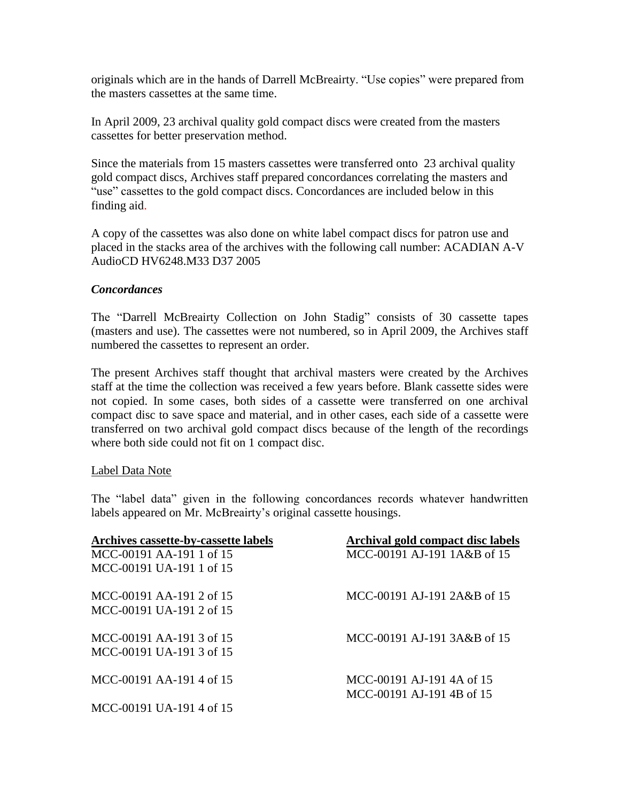originals which are in the hands of Darrell McBreairty. "Use copies" were prepared from the masters cassettes at the same time.

In April 2009, 23 archival quality gold compact discs were created from the masters cassettes for better preservation method.

Since the materials from 15 masters cassettes were transferred onto 23 archival quality gold compact discs, Archives staff prepared concordances correlating the masters and "use" cassettes to the gold compact discs. Concordances are included below in this finding aid.

A copy of the cassettes was also done on white label compact discs for patron use and placed in the stacks area of the archives with the following call number: ACADIAN A-V AudioCD HV6248.M33 D37 2005

### *Concordances*

The "Darrell McBreairty Collection on John Stadig" consists of 30 cassette tapes (masters and use). The cassettes were not numbered, so in April 2009, the Archives staff numbered the cassettes to represent an order.

The present Archives staff thought that archival masters were created by the Archives staff at the time the collection was received a few years before. Blank cassette sides were not copied. In some cases, both sides of a cassette were transferred on one archival compact disc to save space and material, and in other cases, each side of a cassette were transferred on two archival gold compact discs because of the length of the recordings where both side could not fit on 1 compact disc.

### Label Data Note

The "label data" given in the following concordances records whatever handwritten labels appeared on Mr. McBreairty's original cassette housings.

| Archives cassette-by-cassette labels | Archival gold compact disc labels |
|--------------------------------------|-----------------------------------|
| MCC-00191 AA-191 1 of 15             | MCC-00191 AJ-191 1A&B of 15       |
| MCC-00191 UA-191 1 of 15             |                                   |
| MCC-00191 AA-191 2 of 15             | MCC-00191 AJ-191 2A&B of 15       |
| MCC-00191 UA-191 2 of 15             |                                   |
| MCC-00191 AA-191 3 of 15             | MCC-00191 AJ-191 3A&B of 15       |
| MCC-00191 UA-191 3 of 15             |                                   |
| MCC-00191 AA-191 4 of 15             | MCC-00191 AJ-191 4A of 15         |
|                                      | MCC-00191 AJ-191 4B of 15         |
| MCC-00191 UA-191 4 of 15             |                                   |